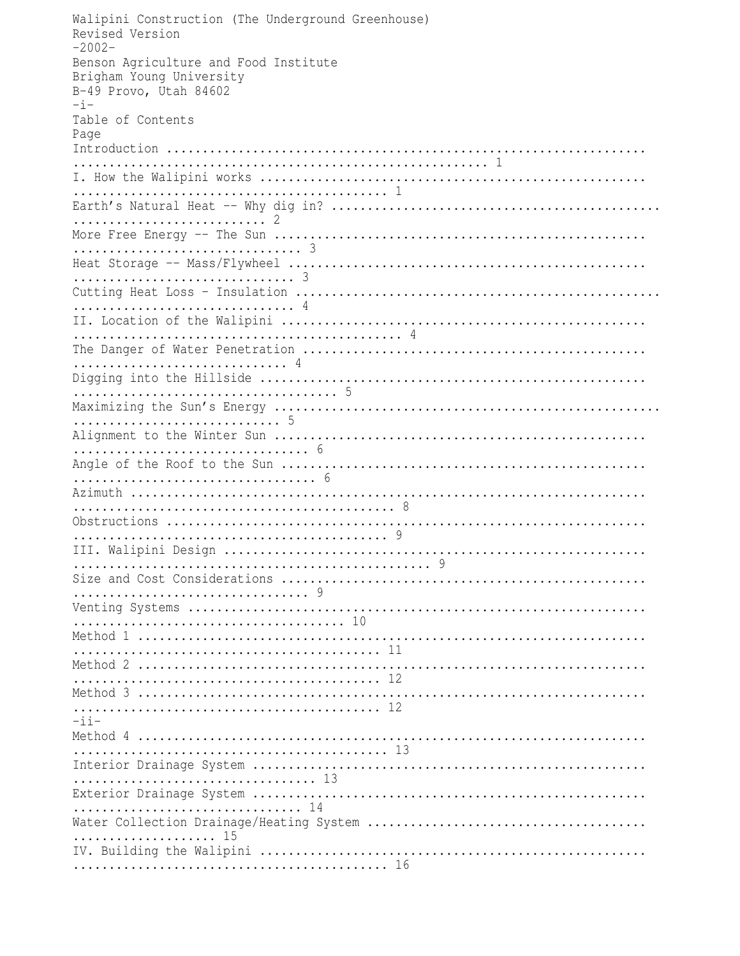Walipini Construction (The Underground Greenhouse) Revised Version  $-2002-$ Benson Agriculture and Food Institute Brigham Young University B-49 Provo, Utah 84602  $-i-$ Table of Contents Page  $-i$   $i-$ ................................. 14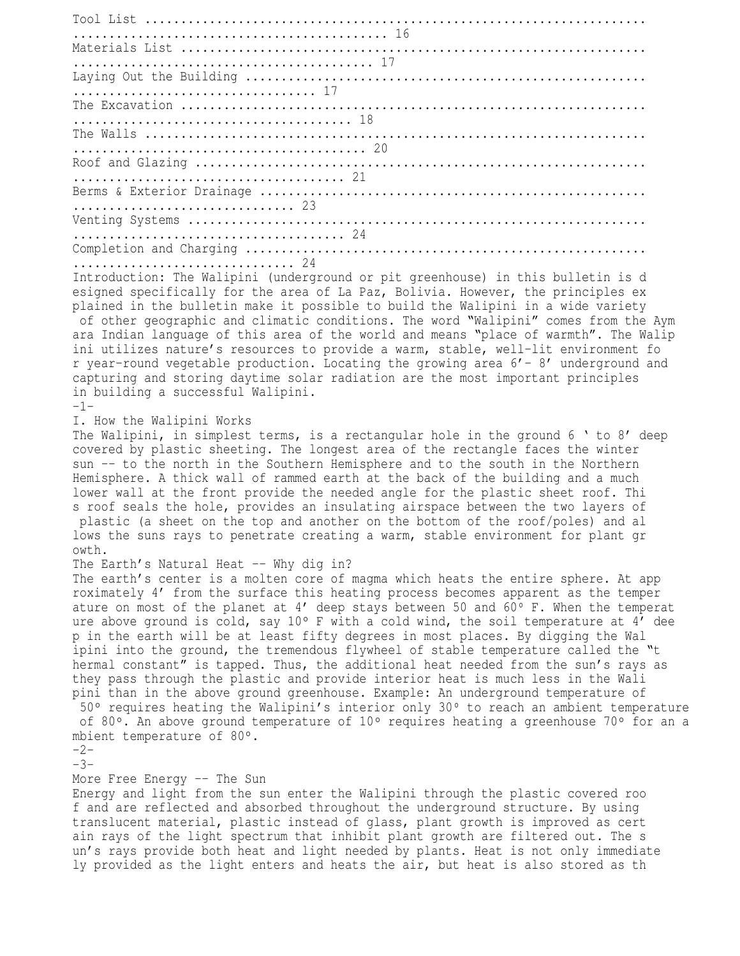Tool List ...................................................................... ............................................ 16 Materials List ................................................................. .......................................... 17 Laying Out the Building ........................................................ .................................. 17 The Excavation ................................................................. ....................................... 18 The Walls ...................................................................... ......................................... 20 Roof and Glazing ............................................................... ...................................... 21 Berms & Exterior Drainage ...................................................... ............................... 23 Venting Systems ................................................................ ...................................... 24 Completion and Charging ........................................................ ............................... 24 Introduction: The Walipini (underground or pit greenhouse) in this bulletin is d esigned specifically for the area of La Paz, Bolivia. However, the principles ex plained in the bulletin make it possible to build the Walipini in a wide variety of other geographic and climatic conditions. The word "Walipini" comes from the Aym

ara Indian language of this area of the world and means "place of warmth". The Walip ini utilizes nature's resources to provide a warm, stable, well-lit environment fo r year-round vegetable production. Locating the growing area 6'- 8' underground and capturing and storing daytime solar radiation are the most important principles in building a successful Walipini.

-1-

I. How the Walipini Works

The Walipini, in simplest terms, is a rectangular hole in the ground 6 ' to 8' deep covered by plastic sheeting. The longest area of the rectangle faces the winter sun -- to the north in the Southern Hemisphere and to the south in the Northern Hemisphere. A thick wall of rammed earth at the back of the building and a much lower wall at the front provide the needed angle for the plastic sheet roof. Thi s roof seals the hole, provides an insulating airspace between the two layers of plastic (a sheet on the top and another on the bottom of the roof/poles) and al lows the suns rays to penetrate creating a warm, stable environment for plant gr owth.

## The Earth's Natural Heat -- Why dig in?

The earth's center is a molten core of magma which heats the entire sphere. At app roximately 4' from the surface this heating process becomes apparent as the temper ature on most of the planet at  $4'$  deep stays between 50 and 60 $\circ$  F. When the temperat ure above ground is cold, say 10° F with a cold wind, the soil temperature at 4' dee p in the earth will be at least fifty degrees in most places. By digging the Wal ipini into the ground, the tremendous flywheel of stable temperature called the "t hermal constant" is tapped. Thus, the additional heat needed from the sun's rays as they pass through the plastic and provide interior heat is much less in the Wali pini than in the above ground greenhouse. Example: An underground temperature of 50° requires heating the Walipini's interior only 30° to reach an ambient temperature of 80 $\degree$ . An above ground temperature of 10 $\degree$  requires heating a greenhouse 70 $\degree$  for an a mbient temperature of 80°.

-2-

-3-

## More Free Energy -- The Sun

Energy and light from the sun enter the Walipini through the plastic covered roo f and are reflected and absorbed throughout the underground structure. By using translucent material, plastic instead of glass, plant growth is improved as cert ain rays of the light spectrum that inhibit plant growth are filtered out. The s un's rays provide both heat and light needed by plants. Heat is not only immediate ly provided as the light enters and heats the air, but heat is also stored as th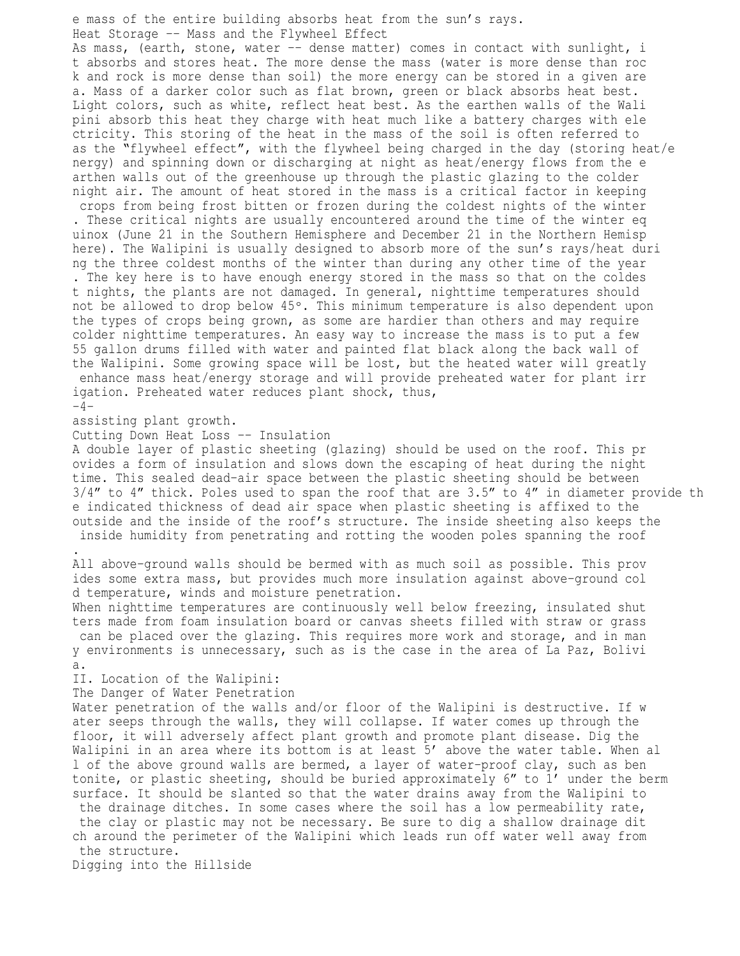e mass of the entire building absorbs heat from the sun's rays. Heat Storage -- Mass and the Flywheel Effect As mass, (earth, stone, water -- dense matter) comes in contact with sunlight, i t absorbs and stores heat. The more dense the mass (water is more dense than roc k and rock is more dense than soil) the more energy can be stored in a given are a. Mass of a darker color such as flat brown, green or black absorbs heat best. Light colors, such as white, reflect heat best. As the earthen walls of the Wali pini absorb this heat they charge with heat much like a battery charges with ele ctricity. This storing of the heat in the mass of the soil is often referred to as the "flywheel effect", with the flywheel being charged in the day (storing heat/e nergy) and spinning down or discharging at night as heat/energy flows from the e arthen walls out of the greenhouse up through the plastic glazing to the colder night air. The amount of heat stored in the mass is a critical factor in keeping crops from being frost bitten or frozen during the coldest nights of the winter . These critical nights are usually encountered around the time of the winter eq uinox (June 21 in the Southern Hemisphere and December 21 in the Northern Hemisp here). The Walipini is usually designed to absorb more of the sun's rays/heat duri ng the three coldest months of the winter than during any other time of the year . The key here is to have enough energy stored in the mass so that on the coldes t nights, the plants are not damaged. In general, nighttime temperatures should not be allowed to drop below 45°. This minimum temperature is also dependent upon the types of crops being grown, as some are hardier than others and may require colder nighttime temperatures. An easy way to increase the mass is to put a few 55 gallon drums filled with water and painted flat black along the back wall of the Walipini. Some growing space will be lost, but the heated water will greatly enhance mass heat/energy storage and will provide preheated water for plant irr igation. Preheated water reduces plant shock, thus,  $-4$ assisting plant growth. Cutting Down Heat Loss -- Insulation A double layer of plastic sheeting (glazing) should be used on the roof. This pr ovides a form of insulation and slows down the escaping of heat during the night time. This sealed dead-air space between the plastic sheeting should be between 3/4" to 4" thick. Poles used to span the roof that are 3.5" to 4" in diameter provide th e indicated thickness of dead air space when plastic sheeting is affixed to the outside and the inside of the roof's structure. The inside sheeting also keeps the inside humidity from penetrating and rotting the wooden poles spanning the roof .

All above-ground walls should be bermed with as much soil as possible. This prov ides some extra mass, but provides much more insulation against above-ground col d temperature, winds and moisture penetration.

When nighttime temperatures are continuously well below freezing, insulated shut ters made from foam insulation board or canvas sheets filled with straw or grass can be placed over the glazing. This requires more work and storage, and in man y environments is unnecessary, such as is the case in the area of La Paz, Bolivi a.

II. Location of the Walipini:

The Danger of Water Penetration

Water penetration of the walls and/or floor of the Walipini is destructive. If w ater seeps through the walls, they will collapse. If water comes up through the floor, it will adversely affect plant growth and promote plant disease. Dig the Walipini in an area where its bottom is at least 5' above the water table. When al l of the above ground walls are bermed, a layer of water-proof clay, such as ben tonite, or plastic sheeting, should be buried approximately 6" to 1' under the berm surface. It should be slanted so that the water drains away from the Walipini to the drainage ditches. In some cases where the soil has a low permeability rate, the clay or plastic may not be necessary. Be sure to dig a shallow drainage dit ch around the perimeter of the Walipini which leads run off water well away from the structure.

Digging into the Hillside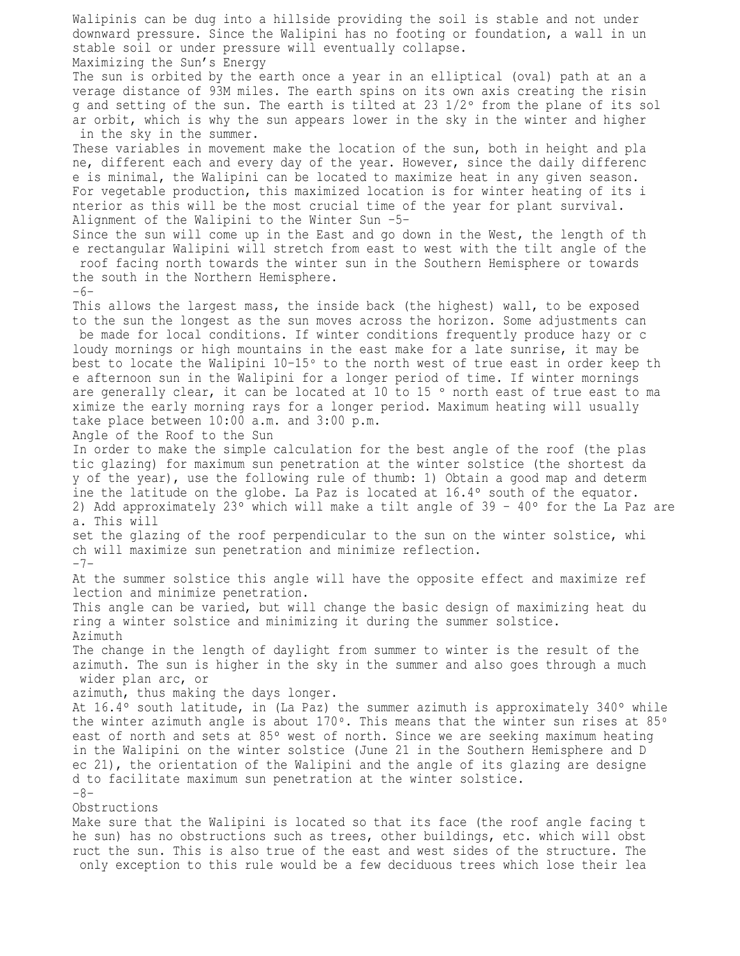Walipinis can be dug into a hillside providing the soil is stable and not under downward pressure. Since the Walipini has no footing or foundation, a wall in un stable soil or under pressure will eventually collapse. Maximizing the Sun's Energy The sun is orbited by the earth once a year in an elliptical (oval) path at an a verage distance of 93M miles. The earth spins on its own axis creating the risin g and setting of the sun. The earth is tilted at 23  $1/2$ ° from the plane of its sol ar orbit, which is why the sun appears lower in the sky in the winter and higher in the sky in the summer. These variables in movement make the location of the sun, both in height and pla ne, different each and every day of the year. However, since the daily differenc e is minimal, the Walipini can be located to maximize heat in any given season. For vegetable production, this maximized location is for winter heating of its i nterior as this will be the most crucial time of the year for plant survival. Alignment of the Walipini to the Winter Sun -5- Since the sun will come up in the East and go down in the West, the length of th e rectangular Walipini will stretch from east to west with the tilt angle of the roof facing north towards the winter sun in the Southern Hemisphere or towards the south in the Northern Hemisphere. -6- This allows the largest mass, the inside back (the highest) wall, to be exposed to the sun the longest as the sun moves across the horizon. Some adjustments can be made for local conditions. If winter conditions frequently produce hazy or c loudy mornings or high mountains in the east make for a late sunrise, it may be best to locate the Walipini  $10-15^{\circ}$  to the north west of true east in order keep th e afternoon sun in the Walipini for a longer period of time. If winter mornings are generally clear, it can be located at 10 to 15  $\degree$  north east of true east to ma ximize the early morning rays for a longer period. Maximum heating will usually take place between 10:00 a.m. and 3:00 p.m. Angle of the Roof to the Sun In order to make the simple calculation for the best angle of the roof (the plas tic glazing) for maximum sun penetration at the winter solstice (the shortest da y of the year), use the following rule of thumb: 1) Obtain a good map and determ ine the latitude on the globe. La Paz is located at  $16.4^{\circ}$  south of the equator. 2) Add approximately 23° which will make a tilt angle of 39 - 40° for the La Paz are a. This will set the glazing of the roof perpendicular to the sun on the winter solstice, whi ch will maximize sun penetration and minimize reflection.  $-7-$ At the summer solstice this angle will have the opposite effect and maximize ref lection and minimize penetration. This angle can be varied, but will change the basic design of maximizing heat du ring a winter solstice and minimizing it during the summer solstice. Azimuth The change in the length of daylight from summer to winter is the result of the azimuth. The sun is higher in the sky in the summer and also goes through a much wider plan arc, or azimuth, thus making the days longer. At  $16.4^\circ$  south latitude, in (La Paz) the summer azimuth is approximately 340° while the winter azimuth angle is about  $170^{\circ}$ . This means that the winter sun rises at 85 $^{\circ}$ east of north and sets at 85° west of north. Since we are seeking maximum heating in the Walipini on the winter solstice (June 21 in the Southern Hemisphere and D ec 21), the orientation of the Walipini and the angle of its glazing are designe d to facilitate maximum sun penetration at the winter solstice. -8- Obstructions Make sure that the Walipini is located so that its face (the roof angle facing t he sun) has no obstructions such as trees, other buildings, etc. which will obst ruct the sun. This is also true of the east and west sides of the structure. The only exception to this rule would be a few deciduous trees which lose their lea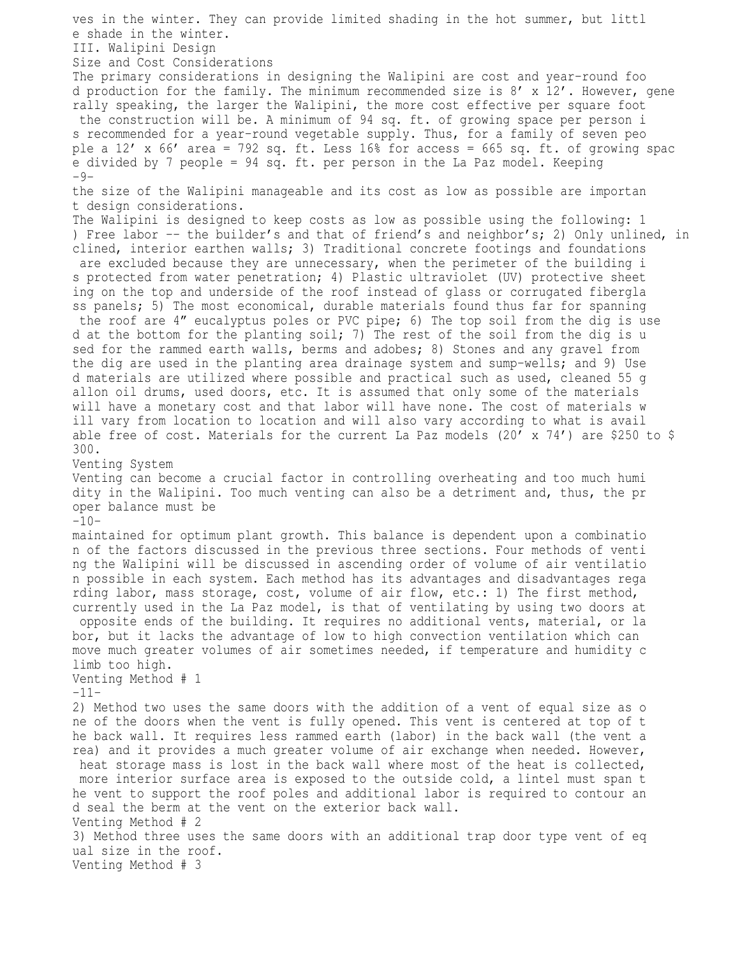ves in the winter. They can provide limited shading in the hot summer, but littl e shade in the winter. III. Walipini Design Size and Cost Considerations The primary considerations in designing the Walipini are cost and year-round foo d production for the family. The minimum recommended size is 8' x 12'. However, gene rally speaking, the larger the Walipini, the more cost effective per square foot the construction will be. A minimum of 94 sq. ft. of growing space per person i s recommended for a year-round vegetable supply. Thus, for a family of seven peo ple a  $12'$  x 66' area = 792 sq. ft. Less 16% for access = 665 sq. ft. of growing spac e divided by 7 people = 94 sq. ft. per person in the La Paz model. Keeping  $-9$ the size of the Walipini manageable and its cost as low as possible are importan t design considerations. The Walipini is designed to keep costs as low as possible using the following: 1 ) Free labor -- the builder's and that of friend's and neighbor's; 2) Only unlined, in clined, interior earthen walls; 3) Traditional concrete footings and foundations are excluded because they are unnecessary, when the perimeter of the building i s protected from water penetration; 4) Plastic ultraviolet (UV) protective sheet ing on the top and underside of the roof instead of glass or corrugated fibergla ss panels; 5) The most economical, durable materials found thus far for spanning the roof are 4" eucalyptus poles or PVC pipe; 6) The top soil from the dig is use d at the bottom for the planting soil; 7) The rest of the soil from the dig is u sed for the rammed earth walls, berms and adobes; 8) Stones and any gravel from the dig are used in the planting area drainage system and sump-wells; and 9) Use d materials are utilized where possible and practical such as used, cleaned 55 g allon oil drums, used doors, etc. It is assumed that only some of the materials will have a monetary cost and that labor will have none. The cost of materials w ill vary from location to location and will also vary according to what is avail able free of cost. Materials for the current La Paz models  $(20' \times 74')$  are \$250 to \$ 300. Venting System Venting can become a crucial factor in controlling overheating and too much humi dity in the Walipini. Too much venting can also be a detriment and, thus, the pr oper balance must be  $-10$ maintained for optimum plant growth. This balance is dependent upon a combinatio n of the factors discussed in the previous three sections. Four methods of venti ng the Walipini will be discussed in ascending order of volume of air ventilatio n possible in each system. Each method has its advantages and disadvantages rega rding labor, mass storage, cost, volume of air flow, etc.: 1) The first method, currently used in the La Paz model, is that of ventilating by using two doors at opposite ends of the building. It requires no additional vents, material, or la bor, but it lacks the advantage of low to high convection ventilation which can move much greater volumes of air sometimes needed, if temperature and humidity c limb too high. Venting Method # 1 -11- 2) Method two uses the same doors with the addition of a vent of equal size as o ne of the doors when the vent is fully opened. This vent is centered at top of t he back wall. It requires less rammed earth (labor) in the back wall (the vent a rea) and it provides a much greater volume of air exchange when needed. However, heat storage mass is lost in the back wall where most of the heat is collected, more interior surface area is exposed to the outside cold, a lintel must span t he vent to support the roof poles and additional labor is required to contour an d seal the berm at the vent on the exterior back wall. Venting Method # 2 3) Method three uses the same doors with an additional trap door type vent of eq ual size in the roof. Venting Method # 3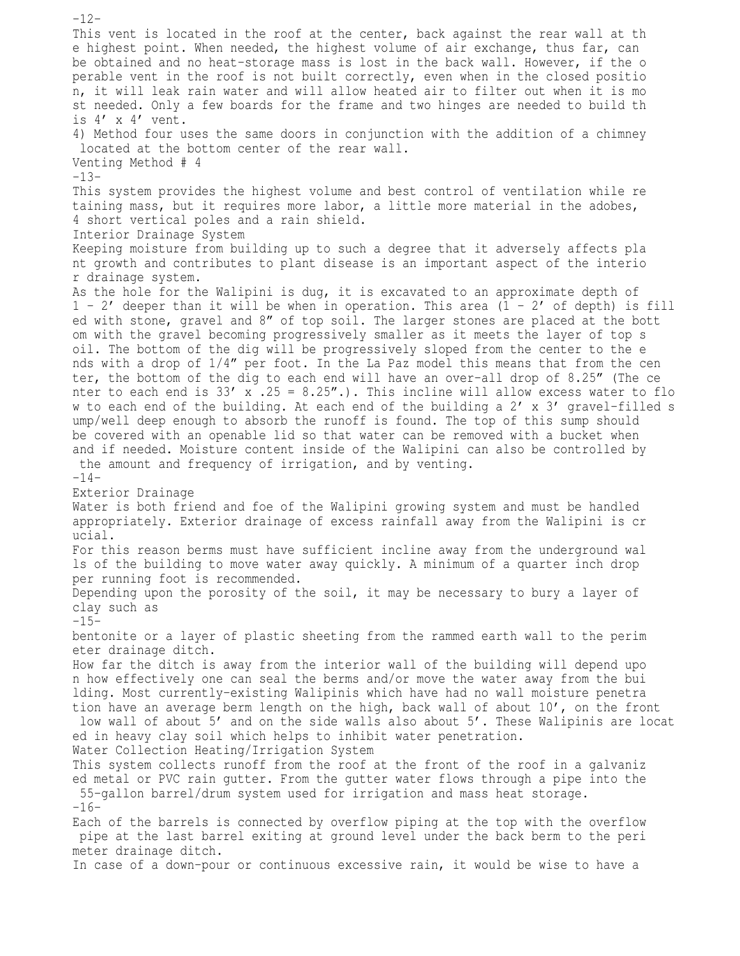$-12-$ This vent is located in the roof at the center, back against the rear wall at th e highest point. When needed, the highest volume of air exchange, thus far, can be obtained and no heat-storage mass is lost in the back wall. However, if the o perable vent in the roof is not built correctly, even when in the closed positio n, it will leak rain water and will allow heated air to filter out when it is mo st needed. Only a few boards for the frame and two hinges are needed to build th is 4' x 4' vent. 4) Method four uses the same doors in conjunction with the addition of a chimney located at the bottom center of the rear wall. Venting Method # 4 -13- This system provides the highest volume and best control of ventilation while re taining mass, but it requires more labor, a little more material in the adobes, 4 short vertical poles and a rain shield. Interior Drainage System Keeping moisture from building up to such a degree that it adversely affects pla nt growth and contributes to plant disease is an important aspect of the interio r drainage system. As the hole for the Walipini is dug, it is excavated to an approximate depth of  $1 - 2'$  deeper than it will be when in operation. This area  $(1 - 2'$  of depth) is fill ed with stone, gravel and 8" of top soil. The larger stones are placed at the bott om with the gravel becoming progressively smaller as it meets the layer of top s oil. The bottom of the dig will be progressively sloped from the center to the e nds with a drop of 1/4" per foot. In the La Paz model this means that from the cen ter, the bottom of the dig to each end will have an over-all drop of 8.25" (The ce nter to each end is  $33'$  x .25 =  $8.25''$ .). This incline will allow excess water to flo w to each end of the building. At each end of the building a 2' x 3' gravel-filled s ump/well deep enough to absorb the runoff is found. The top of this sump should be covered with an openable lid so that water can be removed with a bucket when and if needed. Moisture content inside of the Walipini can also be controlled by the amount and frequency of irrigation, and by venting.  $-14-$ Exterior Drainage Water is both friend and foe of the Walipini growing system and must be handled appropriately. Exterior drainage of excess rainfall away from the Walipini is cr ucial. For this reason berms must have sufficient incline away from the underground wal ls of the building to move water away quickly. A minimum of a quarter inch drop per running foot is recommended. Depending upon the porosity of the soil, it may be necessary to bury a layer of clay such as  $-15$ bentonite or a layer of plastic sheeting from the rammed earth wall to the perim eter drainage ditch. How far the ditch is away from the interior wall of the building will depend upo n how effectively one can seal the berms and/or move the water away from the bui lding. Most currently-existing Walipinis which have had no wall moisture penetra tion have an average berm length on the high, back wall of about 10', on the front low wall of about 5' and on the side walls also about 5'. These Walipinis are locat ed in heavy clay soil which helps to inhibit water penetration. Water Collection Heating/Irrigation System This system collects runoff from the roof at the front of the roof in a galvaniz ed metal or PVC rain gutter. From the gutter water flows through a pipe into the 55-gallon barrel/drum system used for irrigation and mass heat storage.  $-16-$ Each of the barrels is connected by overflow piping at the top with the overflow pipe at the last barrel exiting at ground level under the back berm to the peri meter drainage ditch. In case of a down-pour or continuous excessive rain, it would be wise to have a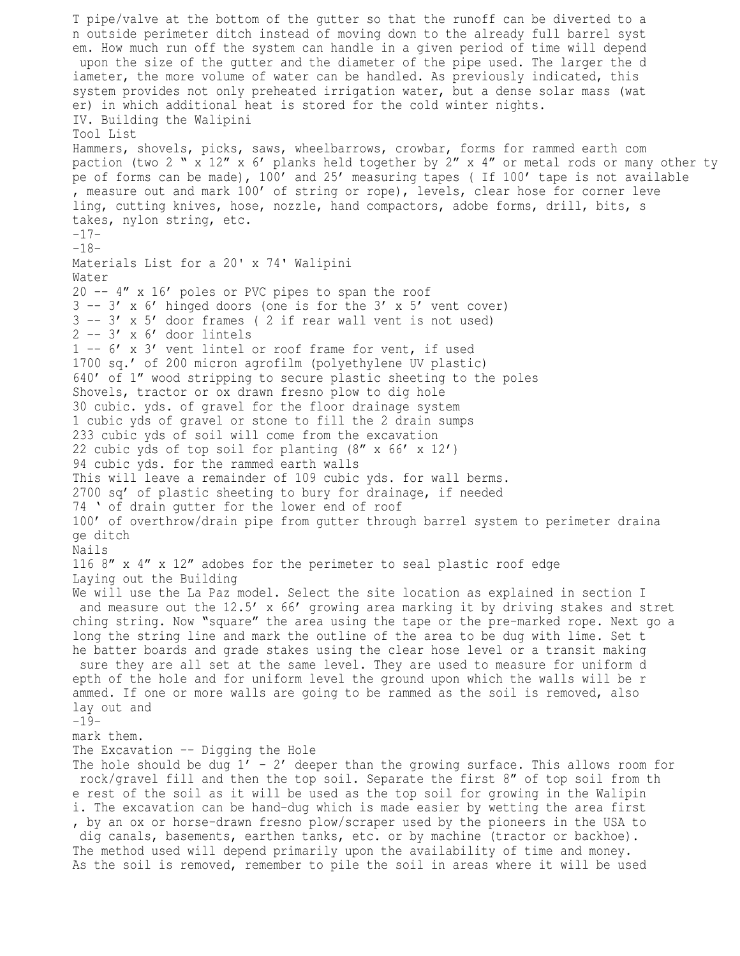T pipe/valve at the bottom of the gutter so that the runoff can be diverted to a n outside perimeter ditch instead of moving down to the already full barrel syst em. How much run off the system can handle in a given period of time will depend upon the size of the gutter and the diameter of the pipe used. The larger the d iameter, the more volume of water can be handled. As previously indicated, this system provides not only preheated irrigation water, but a dense solar mass (wat er) in which additional heat is stored for the cold winter nights. IV. Building the Walipini Tool List Hammers, shovels, picks, saws, wheelbarrows, crowbar, forms for rammed earth com paction (two 2 "  $\overline{x}$  12"  $\overline{x}$  6' planks held together by 2"  $\overline{x}$  4" or metal rods or many other ty pe of forms can be made), 100' and 25' measuring tapes ( If 100' tape is not available , measure out and mark 100' of string or rope), levels, clear hose for corner leve ling, cutting knives, hose, nozzle, hand compactors, adobe forms, drill, bits, s takes, nylon string, etc. -17- -18- Materials List for a 20' x 74' Walipini Water 20 -- 4" x 16' poles or PVC pipes to span the roof  $3 -- 3' \times 6'$  hinged doors (one is for the 3' x 5' vent cover)  $3 -- 3' x 5' door frames ( 2 if rear wall vent is not used)$  $2$  --  $3'$  x  $6'$  door lintels 1 -- 6' x 3' vent lintel or roof frame for vent, if used 1700 sq.' of 200 micron agrofilm (polyethylene UV plastic) 640' of 1" wood stripping to secure plastic sheeting to the poles Shovels, tractor or ox drawn fresno plow to dig hole 30 cubic. yds. of gravel for the floor drainage system 1 cubic yds of gravel or stone to fill the 2 drain sumps 233 cubic yds of soil will come from the excavation 22 cubic yds of top soil for planting (8" x 66' x 12') 94 cubic yds. for the rammed earth walls This will leave a remainder of 109 cubic yds. for wall berms. 2700 sq' of plastic sheeting to bury for drainage, if needed 74 ' of drain gutter for the lower end of roof 100' of overthrow/drain pipe from gutter through barrel system to perimeter draina ge ditch Nails 116 8" x 4" x 12" adobes for the perimeter to seal plastic roof edge Laying out the Building We will use the La Paz model. Select the site location as explained in section I and measure out the 12.5' x 66' growing area marking it by driving stakes and stret ching string. Now "square" the area using the tape or the pre-marked rope. Next go a long the string line and mark the outline of the area to be dug with lime. Set t he batter boards and grade stakes using the clear hose level or a transit making sure they are all set at the same level. They are used to measure for uniform d epth of the hole and for uniform level the ground upon which the walls will be r ammed. If one or more walls are going to be rammed as the soil is removed, also lay out and  $-19$ mark them. The Excavation -- Digging the Hole The hole should be dug  $1'$  - 2' deeper than the growing surface. This allows room for rock/gravel fill and then the top soil. Separate the first 8" of top soil from th e rest of the soil as it will be used as the top soil for growing in the Walipin i. The excavation can be hand-dug which is made easier by wetting the area first , by an ox or horse-drawn fresno plow/scraper used by the pioneers in the USA to dig canals, basements, earthen tanks, etc. or by machine (tractor or backhoe). The method used will depend primarily upon the availability of time and money. As the soil is removed, remember to pile the soil in areas where it will be used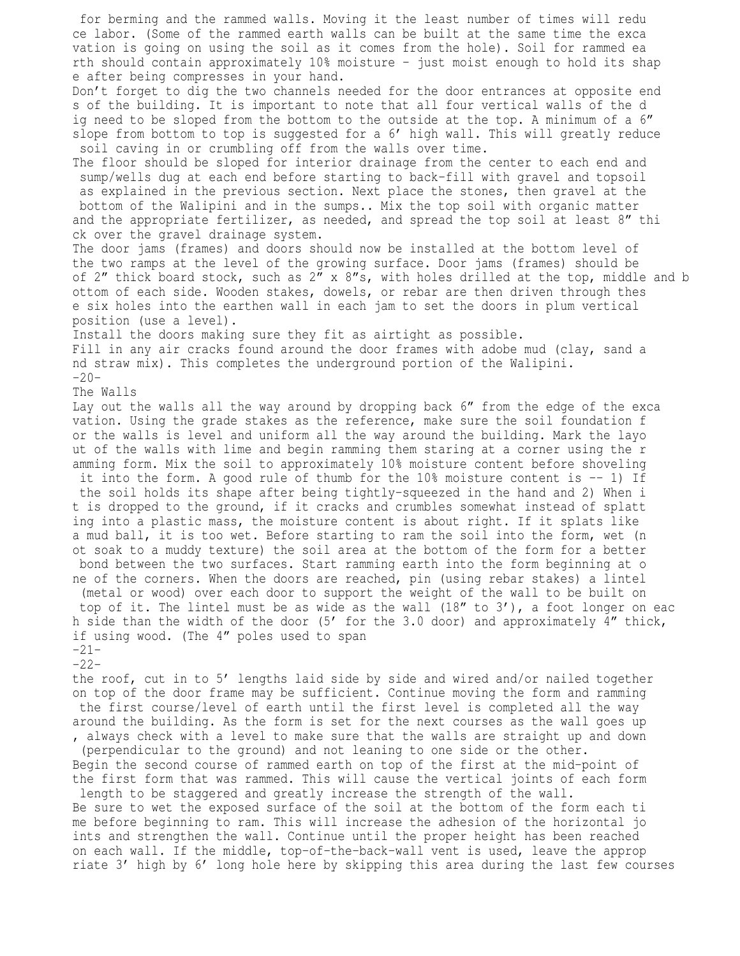for berming and the rammed walls. Moving it the least number of times will redu ce labor. (Some of the rammed earth walls can be built at the same time the exca vation is going on using the soil as it comes from the hole). Soil for rammed ea rth should contain approximately 10% moisture – just moist enough to hold its shap e after being compresses in your hand. Don't forget to dig the two channels needed for the door entrances at opposite end s of the building. It is important to note that all four vertical walls of the d ig need to be sloped from the bottom to the outside at the top. A minimum of a 6" slope from bottom to top is suggested for a 6' high wall. This will greatly reduce soil caving in or crumbling off from the walls over time. The floor should be sloped for interior drainage from the center to each end and sump/wells dug at each end before starting to back-fill with gravel and topsoil as explained in the previous section. Next place the stones, then gravel at the bottom of the Walipini and in the sumps.. Mix the top soil with organic matter and the appropriate fertilizer, as needed, and spread the top soil at least 8" thi ck over the gravel drainage system. The door jams (frames) and doors should now be installed at the bottom level of the two ramps at the level of the growing surface. Door jams (frames) should be of 2" thick board stock, such as 2" x 8"s, with holes drilled at the top, middle and b ottom of each side. Wooden stakes, dowels, or rebar are then driven through thes e six holes into the earthen wall in each jam to set the doors in plum vertical position (use a level). Install the doors making sure they fit as airtight as possible. Fill in any air cracks found around the door frames with adobe mud (clay, sand a nd straw mix). This completes the underground portion of the Walipini.  $-20-$ The Walls Lay out the walls all the way around by dropping back 6" from the edge of the exca vation. Using the grade stakes as the reference, make sure the soil foundation f or the walls is level and uniform all the way around the building. Mark the layo ut of the walls with lime and begin ramming them staring at a corner using the r amming form. Mix the soil to approximately 10% moisture content before shoveling it into the form. A good rule of thumb for the 10% moisture content is -- 1) If the soil holds its shape after being tightly-squeezed in the hand and 2) When i t is dropped to the ground, if it cracks and crumbles somewhat instead of splatt ing into a plastic mass, the moisture content is about right. If it splats like a mud ball, it is too wet. Before starting to ram the soil into the form, wet (n ot soak to a muddy texture) the soil area at the bottom of the form for a better bond between the two surfaces. Start ramming earth into the form beginning at o ne of the corners. When the doors are reached, pin (using rebar stakes) a lintel (metal or wood) over each door to support the weight of the wall to be built on top of it. The lintel must be as wide as the wall (18" to 3'), a foot longer on eac h side than the width of the door (5' for the 3.0 door) and approximately 4" thick, if using wood. (The 4" poles used to span -21- -22 the roof, cut in to 5' lengths laid side by side and wired and/or nailed together on top of the door frame may be sufficient. Continue moving the form and ramming the first course/level of earth until the first level is completed all the way around the building. As the form is set for the next courses as the wall goes up , always check with a level to make sure that the walls are straight up and down (perpendicular to the ground) and not leaning to one side or the other. Begin the second course of rammed earth on top of the first at the mid-point of the first form that was rammed. This will cause the vertical joints of each form length to be staggered and greatly increase the strength of the wall. Be sure to wet the exposed surface of the soil at the bottom of the form each ti me before beginning to ram. This will increase the adhesion of the horizontal jo ints and strengthen the wall. Continue until the proper height has been reached on each wall. If the middle, top-of-the-back-wall vent is used, leave the approp riate 3' high by 6' long hole here by skipping this area during the last few courses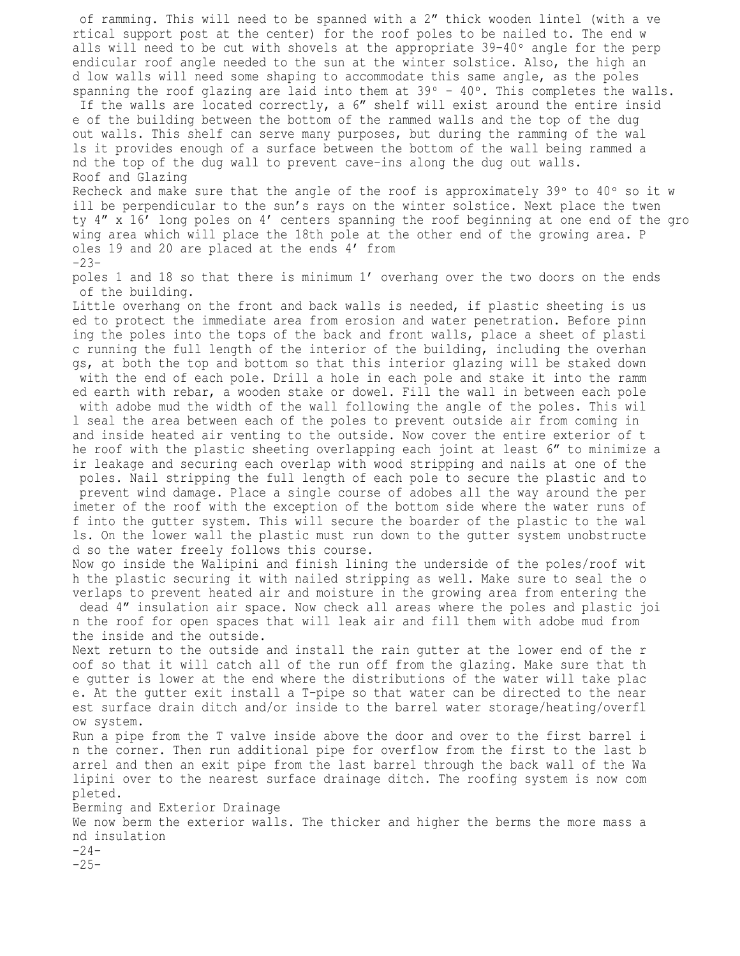of ramming. This will need to be spanned with a 2" thick wooden lintel (with a ve rtical support post at the center) for the roof poles to be nailed to. The end w alls will need to be cut with shovels at the appropriate  $39-40^{\circ}$  angle for the perp endicular roof angle needed to the sun at the winter solstice. Also, the high an d low walls will need some shaping to accommodate this same angle, as the poles spanning the roof glazing are laid into them at  $39^{\circ}$  -  $40^{\circ}$ . This completes the walls. If the walls are located correctly, a 6" shelf will exist around the entire insid e of the building between the bottom of the rammed walls and the top of the dug out walls. This shelf can serve many purposes, but during the ramming of the wal ls it provides enough of a surface between the bottom of the wall being rammed a nd the top of the dug wall to prevent cave-ins along the dug out walls. Roof and Glazing Recheck and make sure that the angle of the roof is approximately 39 $^{\circ}$  to 40 $^{\circ}$  so it w ill be perpendicular to the sun's rays on the winter solstice. Next place the twen ty 4" x 16' long poles on 4' centers spanning the roof beginning at one end of the gro wing area which will place the 18th pole at the other end of the growing area. P oles 19 and 20 are placed at the ends 4' from  $-23$ poles 1 and 18 so that there is minimum 1' overhang over the two doors on the ends of the building. Little overhang on the front and back walls is needed, if plastic sheeting is us ed to protect the immediate area from erosion and water penetration. Before pinn ing the poles into the tops of the back and front walls, place a sheet of plasti c running the full length of the interior of the building, including the overhan gs, at both the top and bottom so that this interior glazing will be staked down with the end of each pole. Drill a hole in each pole and stake it into the ramm ed earth with rebar, a wooden stake or dowel. Fill the wall in between each pole with adobe mud the width of the wall following the angle of the poles. This wil l seal the area between each of the poles to prevent outside air from coming in and inside heated air venting to the outside. Now cover the entire exterior of t he roof with the plastic sheeting overlapping each joint at least 6" to minimize a ir leakage and securing each overlap with wood stripping and nails at one of the poles. Nail stripping the full length of each pole to secure the plastic and to prevent wind damage. Place a single course of adobes all the way around the per imeter of the roof with the exception of the bottom side where the water runs of f into the gutter system. This will secure the boarder of the plastic to the wal ls. On the lower wall the plastic must run down to the gutter system unobstructe d so the water freely follows this course. Now go inside the Walipini and finish lining the underside of the poles/roof wit h the plastic securing it with nailed stripping as well. Make sure to seal the o verlaps to prevent heated air and moisture in the growing area from entering the dead 4" insulation air space. Now check all areas where the poles and plastic joi n the roof for open spaces that will leak air and fill them with adobe mud from the inside and the outside. Next return to the outside and install the rain gutter at the lower end of the r oof so that it will catch all of the run off from the glazing. Make sure that th e gutter is lower at the end where the distributions of the water will take plac e. At the gutter exit install a T-pipe so that water can be directed to the near est surface drain ditch and/or inside to the barrel water storage/heating/overfl ow system. Run a pipe from the T valve inside above the door and over to the first barrel i n the corner. Then run additional pipe for overflow from the first to the last b arrel and then an exit pipe from the last barrel through the back wall of the Wa lipini over to the nearest surface drainage ditch. The roofing system is now com

pleted. Berming and Exterior Drainage We now berm the exterior walls. The thicker and higher the berms the more mass a nd insulation -24-  $-25-$